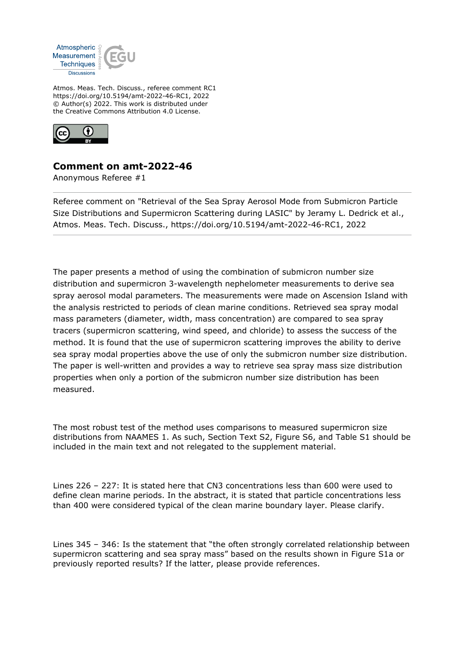

Atmos. Meas. Tech. Discuss., referee comment RC1 https://doi.org/10.5194/amt-2022-46-RC1, 2022 © Author(s) 2022. This work is distributed under the Creative Commons Attribution 4.0 License.



## **Comment on amt-2022-46**

Anonymous Referee #1

Referee comment on "Retrieval of the Sea Spray Aerosol Mode from Submicron Particle Size Distributions and Supermicron Scattering during LASIC" by Jeramy L. Dedrick et al., Atmos. Meas. Tech. Discuss., https://doi.org/10.5194/amt-2022-46-RC1, 2022

The paper presents a method of using the combination of submicron number size distribution and supermicron 3-wavelength nephelometer measurements to derive sea spray aerosol modal parameters. The measurements were made on Ascension Island with the analysis restricted to periods of clean marine conditions. Retrieved sea spray modal mass parameters (diameter, width, mass concentration) are compared to sea spray tracers (supermicron scattering, wind speed, and chloride) to assess the success of the method. It is found that the use of supermicron scattering improves the ability to derive sea spray modal properties above the use of only the submicron number size distribution. The paper is well-written and provides a way to retrieve sea spray mass size distribution properties when only a portion of the submicron number size distribution has been measured.

The most robust test of the method uses comparisons to measured supermicron size distributions from NAAMES 1. As such, Section Text S2, Figure S6, and Table S1 should be included in the main text and not relegated to the supplement material.

Lines 226 – 227: It is stated here that CN3 concentrations less than 600 were used to define clean marine periods. In the abstract, it is stated that particle concentrations less than 400 were considered typical of the clean marine boundary layer. Please clarify.

Lines 345 – 346: Is the statement that "the often strongly correlated relationship between supermicron scattering and sea spray mass" based on the results shown in Figure S1a or previously reported results? If the latter, please provide references.